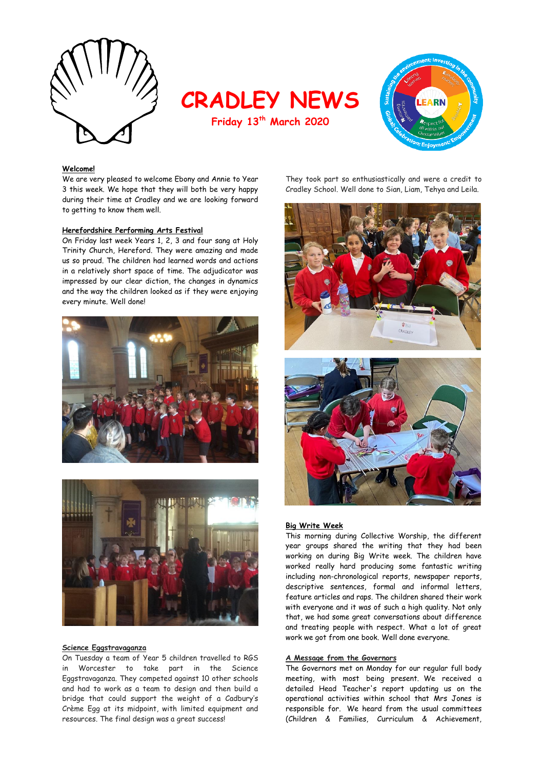

**CRADLEY NEWS**

**Friday 13th March 2020**



### **Welcome!**

We are very pleased to welcome Ebony and Annie to Year 3 this week. We hope that they will both be very happy during their time at Cradley and we are looking forward to getting to know them well.

### **Herefordshire Performing Arts Festival**

On Friday last week Years 1, 2, 3 and four sang at Holy Trinity Church, Hereford. They were amazing and made us so proud. The children had learned words and actions in a relatively short space of time. The adjudicator was impressed by our clear diction, the changes in dynamics and the way the children looked as if they were enjoying every minute. Well done!





#### **Science Eggstravaganza**

On Tuesday a team of Year 5 children travelled to RGS in Worcester to take part in the Science Eggstravaganza. They competed against 10 other schools and had to work as a team to design and then build a bridge that could support the weight of a Cadbury's Crème Egg at its midpoint, with limited equipment and resources. The final design was a great success!

They took part so enthusiastically and were a credit to Cradley School. Well done to Sian, Liam, Tehya and Leila.





## **Big Write Week**

This morning during Collective Worship, the different year groups shared the writing that they had been working on during Big Write week. The children have worked really hard producing some fantastic writing including non-chronological reports, newspaper reports, descriptive sentences, formal and informal letters, feature articles and raps. The children shared their work with everyone and it was of such a high quality. Not only that, we had some great conversations about difference and treating people with respect. What a lot of great work we got from one book. Well done everyone.

## **A Message from the Governors**

The Governors met on Monday for our regular full body meeting, with most being present. We received a detailed Head Teacher's report updating us on the operational activities within school that Mrs Jones is responsible for. We heard from the usual committees (Children & Families, Curriculum & Achievement,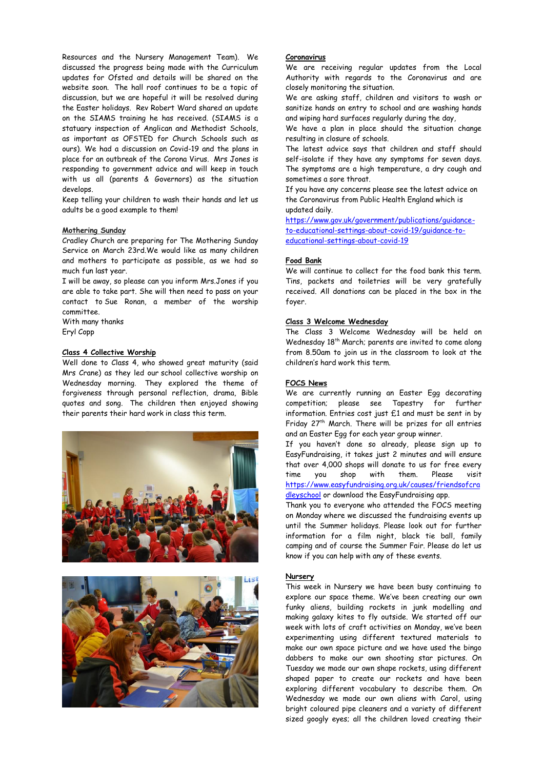Resources and the Nursery Management Team). We discussed the progress being made with the Curriculum updates for Ofsted and details will be shared on the website soon. The hall roof continues to be a topic of discussion, but we are hopeful it will be resolved during the Easter holidays. Rev Robert Ward shared an update on the SIAMS training he has received. (SIAMS is a statuary inspection of Anglican and Methodist Schools, as important as OFSTED for Church Schools such as ours). We had a discussion on Covid-19 and the plans in place for an outbreak of the Corona Virus. Mrs Jones is responding to government advice and will keep in touch with us all (parents & Governors) as the situation develops.

Keep telling your children to wash their hands and let us adults be a good example to them!

#### **Mothering Sunday**

Cradley Church are preparing for The Mothering Sunday Service on March 23rd.We would like as many children and mothers to participate as possible, as we had so much fun last year.

I will be away, so please can you inform Mrs.Jones if you are able to take part. She will then need to pass on your contact to Sue Ronan, a member of the worship committee.

With many thanks Eryl Copp

#### **Class 4 Collective Worship**

Well done to Class 4, who showed great maturity (said Mrs Crane) as they led our school collective worship on Wednesday morning. They explored the theme of forgiveness through personal reflection, drama, Bible quotes and song. The children then enjoyed showing their parents their hard work in class this term.





## **Coronavirus**

We are receiving regular updates from the Local Authority with regards to the Coronavirus and are closely monitoring the situation.

We are asking staff, children and visitors to wash or sanitize hands on entry to school and are washing hands and wiping hard surfaces regularly during the day,

We have a plan in place should the situation change resulting in closure of schools.

The latest advice says that children and staff should self-isolate if they have any symptoms for seven days. The symptoms are a high temperature, a dry cough and sometimes a sore throat.

If you have any concerns please see the latest advice on the Coronavirus from Public Health England which is updated daily.

https://www.gov.uk/government/publications/guidanceto-educational-settings-about-covid-19/guidance-toeducational-settings-about-covid-19

#### **Food Bank**

We will continue to collect for the food bank this term. Tins, packets and toiletries will be very gratefully received. All donations can be placed in the box in the foyer.

#### **Class 3 Welcome Wednesday**

The Class 3 Welcome Wednesday will be held on Wednesday 18<sup>th</sup> March; parents are invited to come along from 8.50am to join us in the classroom to look at the children's hard work this term.

## **FOCS News**

We are currently running an Easter Egg decorating competition; please see Tapestry for further information. Entries cost just £1 and must be sent in by Friday 27<sup>th</sup> March. There will be prizes for all entries and an Easter Egg for each year group winner.

If you haven't done so already, please sign up to EasyFundraising, it takes just 2 minutes and will ensure that over 4,000 shops will donate to us for free every time you shop with them. Please visit [https://www.easyfundraising.org.uk/causes/friendsofcra](https://www.easyfundraising.org.uk/causes/friendsofcradleyschool) [dleyschool](https://www.easyfundraising.org.uk/causes/friendsofcradleyschool) or download the EasyFundraising app.

Thank you to everyone who attended the FOCS meeting on Monday where we discussed the fundraising events up until the Summer holidays. Please look out for further information for a film night, black tie ball, family camping and of course the Summer Fair. Please do let us know if you can help with any of these events.

#### **Nursery**

This week in Nursery we have been busy continuing to explore our space theme. We've been creating our own funky aliens, building rockets in junk modelling and making galaxy kites to fly outside. We started off our week with lots of craft activities on Monday, we've been experimenting using different textured materials to make our own space picture and we have used the bingo dabbers to make our own shooting star pictures. On Tuesday we made our own shape rockets, using different shaped paper to create our rockets and have been exploring different vocabulary to describe them. On Wednesday we made our own aliens with Carol, using bright coloured pipe cleaners and a variety of different sized googly eyes; all the children loved creating their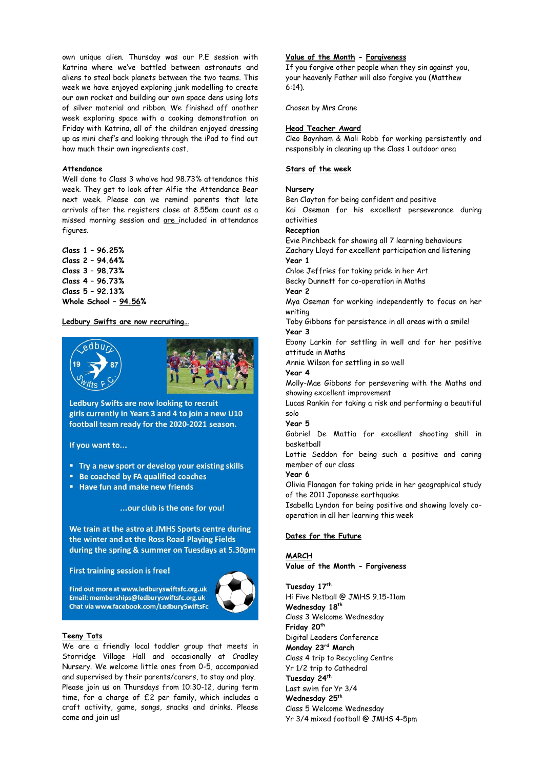own unique alien. Thursday was our P.E session with Katrina where we've battled between astronauts and aliens to steal back planets between the two teams. This week we have enjoyed exploring junk modelling to create our own rocket and building our own space dens using lots of silver material and ribbon. We finished off another week exploring space with a cooking demonstration on Friday with Katrina, all of the children enjoyed dressing up as mini chef's and looking through the iPad to find out how much their own ingredients cost.

#### **Attendance**

Well done to Class 3 who've had 98.73% attendance this week. They get to look after Alfie the Attendance Bear next week. Please can we remind parents that late arrivals after the registers close at 8.55am count as a missed morning session and are included in attendance figures.

**Class 1 – 96.25% Class 2 – 94.64% Class 3 – 98.73% Class 4 – 96.73% Class 5 – 92.13% Whole School – 94.56%**

### **Ledbury Swifts are now recruiting…**



Ledbury Swifts are now looking to recruit girls currently in Years 3 and 4 to join a new U10 football team ready for the 2020-2021 season.

If you want to...

- " Try a new sport or develop your existing skills
- " Be coached by FA qualified coaches
- " Have fun and make new friends

## ... our club is the one for you!

We train at the astro at JMHS Sports centre during the winter and at the Ross Road Playing Fields during the spring & summer on Tuesdays at 5.30pm

**First training session is free!** 

Find out more at www.ledburyswiftsfc.org.uk Email: memberships@ledburyswiftsfc.org.uk Chat via www.facebook.com/LedburySwiftsFc



#### **Teeny Tots**

We are a friendly local toddler group that meets in Storridge Village Hall and occasionally at Cradley Nursery. We welcome little ones from 0-5, accompanied and supervised by their parents/carers, to stay and play. Please join us on Thursdays from 10:30-12, during term time, for a charge of £2 per family, which includes a craft activity, game, songs, snacks and drinks. Please come and join us!

## **Value of the Month - Forgiveness**

If you forgive other people when they sin against you, your heavenly Father will also forgive you (Matthew 6:14).

Chosen by Mrs Crane

#### **Head Teacher Award**

Cleo Baynham & Mali Robb for working persistently and responsibly in cleaning up the Class 1 outdoor area

## **Stars of the week**

## **Nursery**

Ben Clayton for being confident and positive

Kai Oseman for his excellent perseverance during activities

#### **Reception**

Evie Pinchbeck for showing all 7 learning behaviours Zachary Lloyd for excellent participation and listening **Year 1** 

Chloe Jeffries for taking pride in her Art

Becky Dunnett for co-operation in Maths **Year 2** 

Mya Oseman for working independently to focus on her writing

Toby Gibbons for persistence in all areas with a smile! **Year 3** 

Ebony Larkin for settling in well and for her positive attitude in Maths

Annie Wilson for settling in so well

**Year 4**

Molly-Mae Gibbons for persevering with the Maths and showing excellent improvement

Lucas Rankin for taking a risk and performing a beautiful solo

## **Year 5**

Gabriel De Mattia for excellent shooting shill in basketball

Lottie Seddon for being such a positive and caring member of our class

## **Year 6**

Olivia Flanagan for taking pride in her geographical study of the 2011 Japanese earthquake

Isabella Lyndon for being positive and showing lovely cooperation in all her learning this week

## **Dates for the Future**

## **MARCH**

**Value of the Month - Forgiveness**

**Tuesday 17th**

Hi Five Netball @ JMHS 9.15-11am **Wednesday 18th** Class 3 Welcome Wednesday **Friday 20th** Digital Leaders Conference **Monday 23rd March** Class 4 trip to Recycling Centre Yr 1/2 trip to Cathedral **Tuesday 24th** Last swim for Yr 3/4 **Wednesday 25th** Class 5 Welcome Wednesday Yr 3/4 mixed football @ JMHS 4-5pm